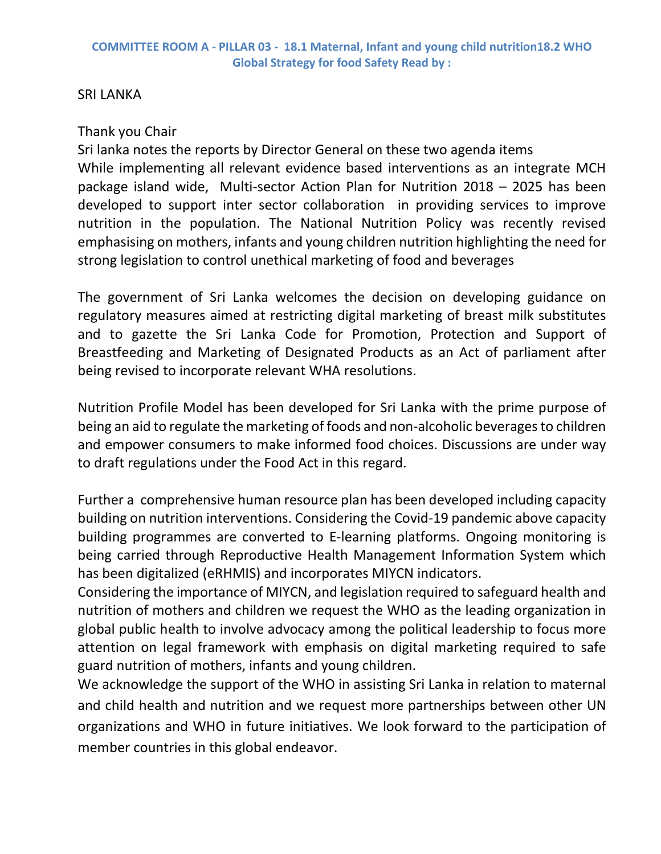## SRI LANKA

## Thank you Chair

Sri lanka notes the reports by Director General on these two agenda items While implementing all relevant evidence based interventions as an integrate MCH package island wide, Multi-sector Action Plan for Nutrition 2018 – 2025 has been developed to support inter sector collaboration in providing services to improve nutrition in the population. The National Nutrition Policy was recently revised emphasising on mothers, infants and young children nutrition highlighting the need for strong legislation to control unethical marketing of food and beverages

The government of Sri Lanka welcomes the decision on developing guidance on regulatory measures aimed at restricting digital marketing of breast milk substitutes and to gazette the Sri Lanka Code for Promotion, Protection and Support of Breastfeeding and Marketing of Designated Products as an Act of parliament after being revised to incorporate relevant WHA resolutions.

Nutrition Profile Model has been developed for Sri Lanka with the prime purpose of being an aid to regulate the marketing of foods and non-alcoholic beverages to children and empower consumers to make informed food choices. Discussions are under way to draft regulations under the Food Act in this regard.

Further a comprehensive human resource plan has been developed including capacity building on nutrition interventions. Considering the Covid-19 pandemic above capacity building programmes are converted to E-learning platforms. Ongoing monitoring is being carried through Reproductive Health Management Information System which has been digitalized (eRHMIS) and incorporates MIYCN indicators.

Considering the importance of MIYCN, and legislation required to safeguard health and nutrition of mothers and children we request the WHO as the leading organization in global public health to involve advocacy among the political leadership to focus more attention on legal framework with emphasis on digital marketing required to safe guard nutrition of mothers, infants and young children.

We acknowledge the support of the WHO in assisting Sri Lanka in relation to maternal and child health and nutrition and we request more partnerships between other UN organizations and WHO in future initiatives. We look forward to the participation of member countries in this global endeavor.